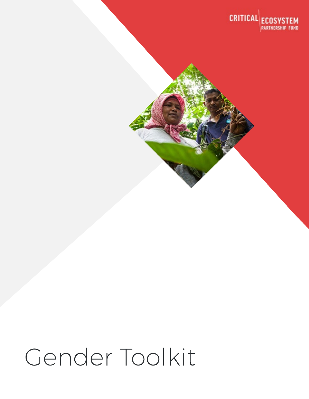

# Gender Toolkit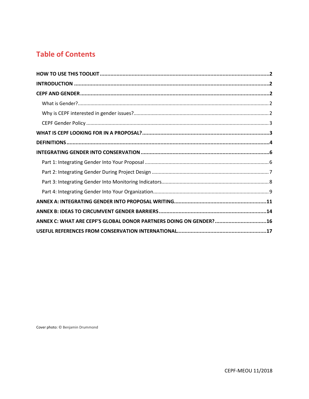# **Table of Contents**

| ANNEX C: WHAT ARE CEPF'S GLOBAL DONOR PARTNERS DOING ON GENDER?16 |  |
|-------------------------------------------------------------------|--|
|                                                                   |  |

Cover photo: © Benjamin Drummond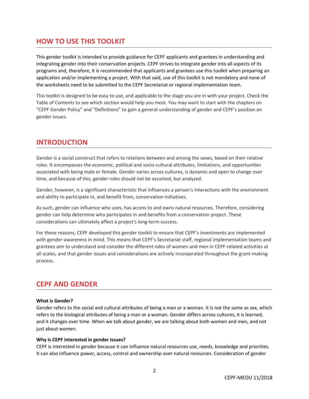### <span id="page-2-0"></span>**HOW TO USE THIS TOOLKIT**

This gender toolkit is intended to provide guidance for CEPF applicants and grantees in understanding and integrating gender into their conservation projects. CEPF strives to integrate gender into all aspects of its programs and, therefore, it is recommended that applicants and grantees use this toolkit when preparing an application and/or implementing a project. With that said, use of this toolkit is not mandatory and none of the worksheets need to be submitted to the CEPF Secretariat or regional implementation team.

This toolkit is designed to be easy to use, and applicable to the stage you are in with your project. Check the Table of Contents to see which section would help you most. You may want to start with the chapters on "CEPF Gender Policy" and "Definitions" to gain a general understanding of gender and CEPF's position on gender issues.

#### <span id="page-2-1"></span>**INTRODUCTION**

Gender is a social construct that refers to relations between and among the sexes, based on their relative roles. It encompasses the economic, political and socio-cultural attributes, limitations, and opportunities associated with being male or female. Gender varies across cultures, is dynamic and open to change over time, and because of this, gender roles should not be assumed, but analyzed.

Gender, however, is a significant characteristic that influences a person's interactions with the environment and ability to participate in, and benefit from, conservation initiatives.

As such, gender can influence who uses, has access to and owns natural resources. Therefore, considering gender can help determine who participates in and benefits from a conservation project. These considerations can ultimately affect a project's long-term success.

For these reasons, CEPF developed this gender toolkit to ensure that CEPF's investments are implemented with gender-awareness in mind. This means that CEPF's Secretariat staff, regional implementation teams and grantees aim to understand and consider the different roles of women and men in CEPF-related activities at all scales, and that gender issues and considerations are actively incorporated throughout the grant-making process.

#### <span id="page-2-2"></span>**CEPF AND GENDER**

#### <span id="page-2-3"></span>**What is Gender?**

Gender refers to the social and cultural attributes of being a man or a woman. It is not the same as sex, which refers to the biological attributes of being a man or a woman. Gender differs across cultures, it is learned, and it changes over time. When we talk about gender, we are talking about both women and men, and not just about women.

#### <span id="page-2-4"></span>**Why is CEPF interested in gender issues?**

CEPF is interested in gender because it can influence natural resources use, needs, knowledge and priorities. It can also influence power, access, control and ownership over natural resources. Consideration of gender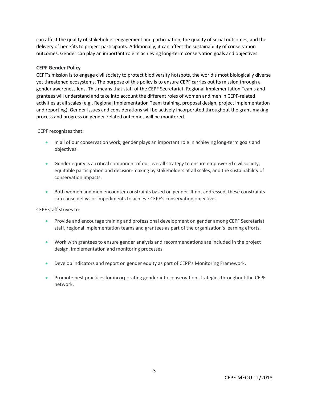can affect the quality of stakeholder engagement and participation, the quality of social outcomes, and the delivery of benefits to project participants. Additionally, it can affect the sustainability of conservation outcomes. Gender can play an important role in achieving long-term conservation goals and objectives.

#### <span id="page-3-0"></span>**CEPF Gender Policy**

CEPF's mission is to engage civil society to protect biodiversity hotspots, the world's most biologically diverse yet threatened ecosystems. The purpose of this policy is to ensure CEPF carries out its mission through a gender awareness lens. This means that staff of the CEPF Secretariat, Regional Implementation Teams and grantees will understand and take into account the different roles of women and men in CEPF-related activities at all scales (e.g., Regional Implementation Team training, proposal design, project implementation and reporting). Gender issues and considerations will be actively incorporated throughout the grant-making process and progress on gender-related outcomes will be monitored.

CEPF recognizes that:

- In all of our conservation work, gender plays an important role in achieving long-term goals and objectives.
- Gender equity is a critical component of our overall strategy to ensure empowered civil society, equitable participation and decision-making by stakeholders at all scales, and the sustainability of conservation impacts.
- Both women and men encounter constraints based on gender. If not addressed, these constraints can cause delays or impediments to achieve CEPF's conservation objectives.

CEPF staff strives to:

- Provide and encourage training and professional development on gender among CEPF Secretariat staff, regional implementation teams and grantees as part of the organization's learning efforts.
- Work with grantees to ensure gender analysis and recommendations are included in the project design, implementation and monitoring processes.
- Develop indicators and report on gender equity as part of CEPF's Monitoring Framework.
- <span id="page-3-1"></span>• Promote best practices for incorporating gender into conservation strategies throughout the CEPF network.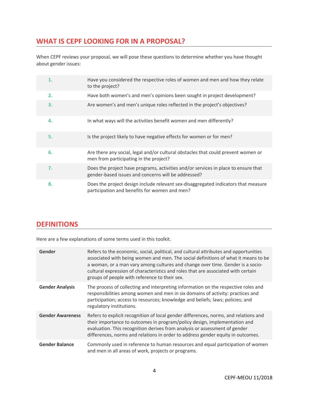# **WHAT IS CEPF LOOKING FOR IN A PROPOSAL?**

When CEPF reviews your proposal, we will pose these questions to determine whether you have thought about gender issues:

| 1. | Have you considered the respective roles of women and men and how they relate<br>to the project?                                          |
|----|-------------------------------------------------------------------------------------------------------------------------------------------|
| 2. | Have both women's and men's opinions been sought in project development?                                                                  |
| 3. | Are women's and men's unique roles reflected in the project's objectives?                                                                 |
| 4. | In what ways will the activities benefit women and men differently?                                                                       |
| 5. | Is the project likely to have negative effects for women or for men?                                                                      |
| 6. | Are there any social, legal and/or cultural obstacles that could prevent women or<br>men from participating in the project?               |
| 7. | Does the project have programs, activities and/or services in place to ensure that<br>gender-based issues and concerns will be addressed? |
| 8. | Does the project design include relevant sex-disaggregated indicators that measure<br>participation and benefits for women and men?       |

#### <span id="page-4-0"></span>**DEFINITIONS**

Here are a few explanations of some terms used in this toolkit.

| Gender                  | Refers to the economic, social, political, and cultural attributes and opportunities<br>associated with being women and men. The social definitions of what it means to be<br>a woman, or a man vary among cultures and change over time. Gender is a socio-<br>cultural expression of characteristics and roles that are associated with certain<br>groups of people with reference to their sex. |
|-------------------------|----------------------------------------------------------------------------------------------------------------------------------------------------------------------------------------------------------------------------------------------------------------------------------------------------------------------------------------------------------------------------------------------------|
| <b>Gender Analysis</b>  | The process of collecting and interpreting information on the respective roles and<br>responsibilities among women and men in six domains of activity: practices and<br>participation; access to resources; knowledge and beliefs; laws; policies; and<br>regulatory institutions.                                                                                                                 |
| <b>Gender Awareness</b> | Refers to explicit recognition of local gender differences, norms, and relations and<br>their importance to outcomes in program/policy design, implementation and<br>evaluation. This recognition derives from analysis or assessment of gender<br>differences, norms and relations in order to address gender equity in outcomes.                                                                 |
| <b>Gender Balance</b>   | Commonly used in reference to human resources and equal participation of women<br>and men in all areas of work, projects or programs.                                                                                                                                                                                                                                                              |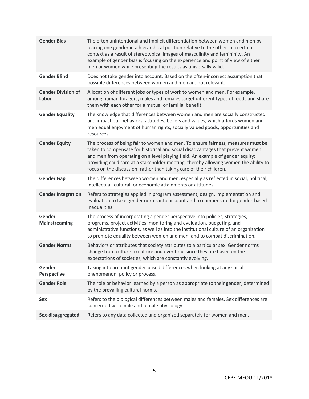| <b>Gender Bias</b>                 | The often unintentional and implicit differentiation between women and men by<br>placing one gender in a hierarchical position relative to the other in a certain<br>context as a result of stereotypical images of masculinity and femininity. An<br>example of gender bias is focusing on the experience and point of view of either<br>men or women while presenting the results as universally valid.          |
|------------------------------------|--------------------------------------------------------------------------------------------------------------------------------------------------------------------------------------------------------------------------------------------------------------------------------------------------------------------------------------------------------------------------------------------------------------------|
| <b>Gender Blind</b>                | Does not take gender into account. Based on the often-incorrect assumption that<br>possible differences between women and men are not relevant.                                                                                                                                                                                                                                                                    |
| <b>Gender Division of</b><br>Labor | Allocation of different jobs or types of work to women and men. For example,<br>among human foragers, males and females target different types of foods and share<br>them with each other for a mutual or familial benefit.                                                                                                                                                                                        |
| <b>Gender Equality</b>             | The knowledge that differences between women and men are socially constructed<br>and impact our behaviors, attitudes, beliefs and values, which affords women and<br>men equal enjoyment of human rights, socially valued goods, opportunities and<br>resources.                                                                                                                                                   |
| <b>Gender Equity</b>               | The process of being fair to women and men. To ensure fairness, measures must be<br>taken to compensate for historical and social disadvantages that prevent women<br>and men from operating on a level playing field. An example of gender equity:<br>providing child care at a stakeholder meeting, thereby allowing women the ability to<br>focus on the discussion, rather than taking care of their children. |
| <b>Gender Gap</b>                  | The differences between women and men, especially as reflected in social, political,<br>intellectual, cultural, or economic attainments or attitudes.                                                                                                                                                                                                                                                              |
| <b>Gender Integration</b>          | Refers to strategies applied in program assessment, design, implementation and<br>evaluation to take gender norms into account and to compensate for gender-based<br>inequalities.                                                                                                                                                                                                                                 |
| Gender<br><b>Mainstreaming</b>     | The process of incorporating a gender perspective into policies, strategies,<br>programs, project activities, monitoring and evaluation, budgeting, and<br>administrative functions, as well as into the institutional culture of an organization<br>to promote equality between women and men, and to combat discrimination.                                                                                      |
| <b>Gender Norms</b>                | Behaviors or attributes that society attributes to a particular sex. Gender norms<br>change from culture to culture and over time since they are based on the<br>expectations of societies, which are constantly evolving.                                                                                                                                                                                         |
| Gender<br><b>Perspective</b>       | Taking into account gender-based differences when looking at any social<br>phenomenon, policy or process.                                                                                                                                                                                                                                                                                                          |
| <b>Gender Role</b>                 | The role or behavior learned by a person as appropriate to their gender, determined<br>by the prevailing cultural norms.                                                                                                                                                                                                                                                                                           |
| <b>Sex</b>                         | Refers to the biological differences between males and females. Sex differences are<br>concerned with male and female physiology.                                                                                                                                                                                                                                                                                  |
| Sex-disaggregated                  | Refers to any data collected and organized separately for women and men.                                                                                                                                                                                                                                                                                                                                           |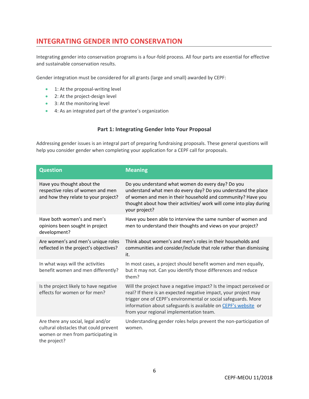# <span id="page-6-0"></span>**INTEGRATING GENDER INTO CONSERVATION**

Integrating gender into conservation programs is a four-fold process. All four parts are essential for effective and sustainable conservation results.

Gender integration must be considered for all grants (large and small) awarded by CEPF:

- 1: At the proposal-writing level
- 2: At the project-design level
- 3: At the monitoring level
- 4: As an integrated part of the grantee's organization

#### **Part 1: Integrating Gender Into Your Proposal**

<span id="page-6-1"></span>Addressing gender issues is an integral part of preparing fundraising proposals. These general questions will help you consider gender when completing your application for a CEPF call for proposals.

| <b>Question</b>                                                                                                                   | <b>Meaning</b>                                                                                                                                                                                                                                                                                                        |
|-----------------------------------------------------------------------------------------------------------------------------------|-----------------------------------------------------------------------------------------------------------------------------------------------------------------------------------------------------------------------------------------------------------------------------------------------------------------------|
| Have you thought about the<br>respective roles of women and men<br>and how they relate to your project?                           | Do you understand what women do every day? Do you<br>understand what men do every day? Do you understand the place<br>of women and men in their household and community? Have you<br>thought about how their activities/ work will come into play during<br>your project?                                             |
| Have both women's and men's<br>opinions been sought in project<br>development?                                                    | Have you been able to interview the same number of women and<br>men to understand their thoughts and views on your project?                                                                                                                                                                                           |
| Are women's and men's unique roles<br>reflected in the project's objectives?                                                      | Think about women's and men's roles in their households and<br>communities and consider/include that role rather than dismissing<br>it.                                                                                                                                                                               |
| In what ways will the activities<br>benefit women and men differently?                                                            | In most cases, a project should benefit women and men equally,<br>but it may not. Can you identify those differences and reduce<br>them?                                                                                                                                                                              |
| Is the project likely to have negative<br>effects for women or for men?                                                           | Will the project have a negative impact? Is the impact perceived or<br>real? If there is an expected negative impact, your project may<br>trigger one of CEPF's environmental or social safeguards. More<br>information about safeguards is available on CEPF's website or<br>from your regional implementation team. |
| Are there any social, legal and/or<br>cultural obstacles that could prevent<br>women or men from participating in<br>the project? | Understanding gender roles helps prevent the non-participation of<br>women.                                                                                                                                                                                                                                           |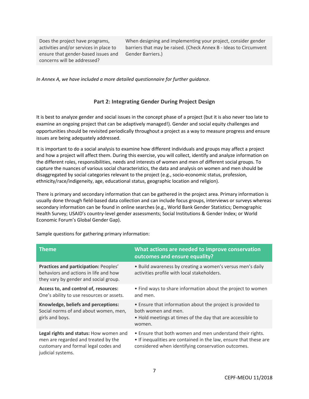Does the project have programs, activities and/or services in place to ensure that gender-based issues and concerns will be addressed?

When designing and implementing your project, consider gender barriers that may be raised. (Check Annex B - Ideas to Circumvent Gender Barriers.)

<span id="page-7-0"></span>*In Annex A, we have included a more detailed questionnaire for further guidance.*

#### **Part 2: Integrating Gender During Project Design**

It is best to analyze gender and social issues in the concept phase of a project (but it is also never too late to examine an ongoing project that can be adaptively managed!). Gender and social equity challenges and opportunities should be revisited periodically throughout a project as a way to measure progress and ensure issues are being adequately addressed.

It is important to do a social analysis to examine how different individuals and groups may affect a project and how a project will affect them. During this exercise, you will collect, identify and analyze information on the different roles, responsibilities, needs and interests of women and men of different social groups. To capture the nuances of various social characteristics, the data and analysis on women and men should be disaggregated by social categories relevant to the project (e.g., socio-economic status, profession, ethnicity/race/indigeneity, age, educational status, geographic location and religion).

There is primary and secondary information that can be gathered in the project area. Primary information is usually done through field-based data collection and can include focus groups, interviews or surveys whereas secondary information can be found in online searches (e.g., World Bank Gender Statistics; Demographic Health Survey; USAID's country-level gender assessments; Social Institutions & Gender Index; or World Economic Forum's Global Gender Gap).

| <b>Theme</b>                                                                                                                               | What actions are needed to improve conservation<br>outcomes and ensure equality?                                                                                                     |
|--------------------------------------------------------------------------------------------------------------------------------------------|--------------------------------------------------------------------------------------------------------------------------------------------------------------------------------------|
| Practices and participation: Peoples'<br>behaviors and actions in life and how<br>they vary by gender and social group.                    | • Build awareness by creating a women's versus men's daily<br>activities profile with local stakeholders.                                                                            |
| Access to, and control of, resources:<br>One's ability to use resources or assets.                                                         | • Find ways to share information about the project to women<br>and men.                                                                                                              |
| Knowledge, beliefs and perceptions:<br>Social norms of and about women, men,<br>girls and boys.                                            | • Ensure that information about the project is provided to<br>both women and men.<br>• Hold meetings at times of the day that are accessible to<br>women.                            |
| Legal rights and status: How women and<br>men are regarded and treated by the<br>customary and formal legal codes and<br>judicial systems. | • Ensure that both women and men understand their rights.<br>• If inequalities are contained in the law, ensure that these are<br>considered when identifying conservation outcomes. |

Sample questions for gathering primary information: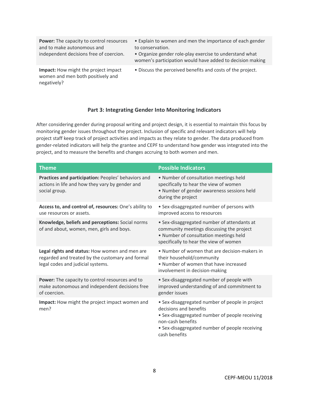| <b>Power:</b> The capacity to control resources<br>and to make autonomous and<br>independent decisions free of coercion. | • Explain to women and men the importance of each gender<br>to conservation.<br>• Organize gender role-play exercise to understand what<br>women's participation would have added to decision making |
|--------------------------------------------------------------------------------------------------------------------------|------------------------------------------------------------------------------------------------------------------------------------------------------------------------------------------------------|
| Impact: How might the project impact<br>women and men both positively and<br>negatively?                                 | • Discuss the perceived benefits and costs of the project.                                                                                                                                           |

#### **Part 3: Integrating Gender Into Monitoring Indicators**

<span id="page-8-0"></span>After considering gender during proposal writing and project design, it is essential to maintain this focus by monitoring gender issues throughout the project. Inclusion of specific and relevant indicators will help project staff keep track of project activities and impacts as they relate to gender. The data produced from gender-related indicators will help the grantee and CEPF to understand how gender was integrated into the project, and to measure the benefits and changes accruing to both women and men.

| <b>Theme</b>                                                                                                                            | <b>Possible Indicators</b>                                                                                                                                                                                          |
|-----------------------------------------------------------------------------------------------------------------------------------------|---------------------------------------------------------------------------------------------------------------------------------------------------------------------------------------------------------------------|
| Practices and participation: Peoples' behaviors and<br>actions in life and how they vary by gender and<br>social group.                 | . Number of consultation meetings held<br>specifically to hear the view of women<br>• Number of gender awareness sessions held<br>during the project                                                                |
| Access to, and control of, resources: One's ability to<br>use resources or assets.                                                      | • Sex-disaggregated number of persons with<br>improved access to resources                                                                                                                                          |
| Knowledge, beliefs and perceptions: Social norms<br>of and about, women, men, girls and boys.                                           | • Sex-disaggregated number of attendants at<br>community meetings discussing the project<br>. Number of consultation meetings held<br>specifically to hear the view of women                                        |
| Legal rights and status: How women and men are<br>regarded and treated by the customary and formal<br>legal codes and judicial systems. | • Number of women that are decision-makers in<br>their household/community<br>. Number of women that have increased<br>involvement in decision-making                                                               |
| Power: The capacity to control resources and to<br>make autonomous and independent decisions free<br>of coercion.                       | • Sex-disaggregated number of people with<br>improved understanding of and commitment to<br>gender issues                                                                                                           |
| Impact: How might the project impact women and<br>men?                                                                                  | • Sex-disaggregated number of people in project<br>decisions and benefits<br>• Sex-disaggregated number of people receiving<br>non-cash benefits<br>• Sex-disaggregated number of people receiving<br>cash benefits |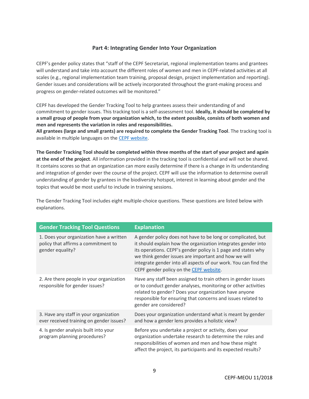#### **Part 4: Integrating Gender Into Your Organization**

<span id="page-9-0"></span>CEPF's gender policy states that "staff of the CEPF Secretariat, regional implementation teams and grantees will understand and take into account the different roles of women and men in CEPF-related activities at all scales (e.g., regional implementation team training, proposal design, project implementation and reporting). Gender issues and considerations will be actively incorporated throughout the grant-making process and progress on gender-related outcomes will be monitored."

CEPF has developed the Gender Tracking Tool to help grantees assess their understanding of and commitment to gender issues. This tracking tool is a self-assessment tool. **Ideally, it should be completed by a small group of people from your organization which, to the extent possible, consists of both women and men and represents the variation in roles and responsibilities.**

**All grantees (large and small grants) are required to complete the Gender Tracking Tool**. The tracking tool is available in multiple languages on th[e CEPF website.](https://www.cepf.net/grants/before-you-apply/gender-policy)

**The Gender Tracking Tool should be completed within three months of the start of your project and again at the end of the project**. All information provided in the tracking tool is confidential and will not be shared. It contains scores so that an organization can more easily determine if there is a change in its understanding and integration of gender over the course of the project. CEPF will use the information to determine overall understanding of gender by grantees in the biodiversity hotspot, interest in learning about gender and the topics that would be most useful to include in training sessions.

The Gender Tracking Tool includes eight multiple-choice questions. These questions are listed below with explanations.

| <b>Gender Tracking Tool Questions</b>                                                               | <b>Explanation</b>                                                                                                                                                                                                                                                                                                                                                   |
|-----------------------------------------------------------------------------------------------------|----------------------------------------------------------------------------------------------------------------------------------------------------------------------------------------------------------------------------------------------------------------------------------------------------------------------------------------------------------------------|
| 1. Does your organization have a written<br>policy that affirms a commitment to<br>gender equality? | A gender policy does not have to be long or complicated, but<br>it should explain how the organization integrates gender into<br>its operations. CEPF's gender policy is 1 page and states why<br>we think gender issues are important and how we will<br>integrate gender into all aspects of our work. You can find the<br>CEPF gender policy on the CEPF website. |
| 2. Are there people in your organization<br>responsible for gender issues?                          | Have any staff been assigned to train others in gender issues<br>or to conduct gender analyses, monitoring or other activities<br>related to gender? Does your organization have anyone<br>responsible for ensuring that concerns and issues related to<br>gender are considered?                                                                                    |
| 3. Have any staff in your organization<br>ever received training on gender issues?                  | Does your organization understand what is meant by gender<br>and how a gender lens provides a holistic view?                                                                                                                                                                                                                                                         |
| 4. Is gender analysis built into your<br>program planning procedures?                               | Before you undertake a project or activity, does your<br>organization undertake research to determine the roles and<br>responsibilities of women and men and how these might<br>affect the project, its participants and its expected results?                                                                                                                       |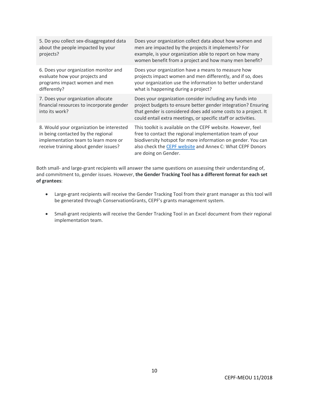| 5. Do you collect sex-disaggregated data<br>about the people impacted by your<br>projects?                                                                      | Does your organization collect data about how women and<br>men are impacted by the projects it implements? For<br>example, is your organization able to report on how many<br>women benefit from a project and how many men benefit?                                          |
|-----------------------------------------------------------------------------------------------------------------------------------------------------------------|-------------------------------------------------------------------------------------------------------------------------------------------------------------------------------------------------------------------------------------------------------------------------------|
| 6. Does your organization monitor and<br>evaluate how your projects and<br>programs impact women and men<br>differently?                                        | Does your organization have a means to measure how<br>projects impact women and men differently, and if so, does<br>your organization use the information to better understand<br>what is happening during a project?                                                         |
| 7. Does your organization allocate<br>financial resources to incorporate gender<br>into its work?                                                               | Does your organization consider including any funds into<br>project budgets to ensure better gender integration? Ensuring<br>that gender is considered does add some costs to a project. It<br>could entail extra meetings, or specific staff or activities.                  |
| 8. Would your organization be interested<br>in being contacted by the regional<br>implementation team to learn more or<br>receive training about gender issues? | This toolkit is available on the CEPF website. However, feel<br>free to contact the regional implementation team of your<br>biodiversity hotspot for more information on gender. You can<br>also check the CEPF website and Annex C: What CEPF Donors<br>are doing on Gender. |

Both small- and large-grant recipients will answer the same questions on assessing their understanding of, and commitment to, gender issues. However, **the Gender Tracking Tool has a different format for each set of grantees**:

- Large-grant recipients will receive the Gender Tracking Tool from their grant manager as this tool will be generated through ConservationGrants, CEPF's grants management system.
- Small-grant recipients will receive the Gender Tracking Tool in an Excel document from their regional implementation team.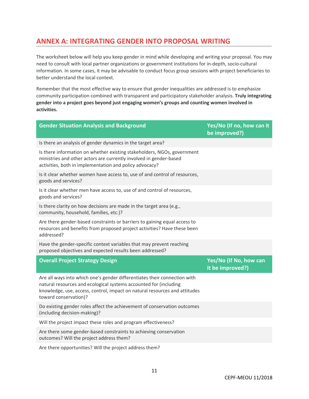# <span id="page-11-0"></span>**ANNEX A: INTEGRATING GENDER INTO PROPOSAL WRITING**

The worksheet below will help you keep gender in mind while developing and writing your proposal. You may need to consult with local partner organizations or government institutions for in-depth, socio-cultural information. In some cases, it may be advisable to conduct focus group sessions with project beneficiaries to better understand the local context.

Remember that the most effective way to ensure that gender inequalities are addressed is to emphasize community participation combined with transparent and participatory stakeholder analysis. **Truly integrating gender into a project goes beyond just engaging women's groups and counting women involved in activities.**

| <b>Gender Situation Analysis and Background</b>                                                                                                                                                                                                       | Yes/No (If no, how can it<br>be improved?) |
|-------------------------------------------------------------------------------------------------------------------------------------------------------------------------------------------------------------------------------------------------------|--------------------------------------------|
| Is there an analysis of gender dynamics in the target area?                                                                                                                                                                                           |                                            |
| Is there information on whether existing stakeholders, NGOs, government<br>ministries and other actors are currently involved in gender-based<br>activities, both in implementation and policy advocacy?                                              |                                            |
| Is it clear whether women have access to, use of and control of resources,<br>goods and services?                                                                                                                                                     |                                            |
| Is it clear whether men have access to, use of and control of resources,<br>goods and services?                                                                                                                                                       |                                            |
| Is there clarity on how decisions are made in the target area (e.g.,<br>community, household, families, etc.)?                                                                                                                                        |                                            |
| Are there gender-based constraints or barriers to gaining equal access to<br>resources and benefits from proposed project activities? Have these been<br>addressed?                                                                                   |                                            |
|                                                                                                                                                                                                                                                       |                                            |
| Have the gender-specific context variables that may prevent reaching<br>proposed objectives and expected results been addressed?                                                                                                                      |                                            |
| <b>Overall Project Strategy Design</b>                                                                                                                                                                                                                | Yes/No (If No, how can<br>it be improved?) |
| Are all ways into which one's gender differentiates their connection with<br>natural resources and ecological systems accounted for (including<br>knowledge, use, access, control, impact on natural resources and attitudes<br>toward conservation)? |                                            |
| Do existing gender roles affect the achievement of conservation outcomes<br>(including decision-making)?                                                                                                                                              |                                            |
| Will the project impact these roles and program effectiveness?                                                                                                                                                                                        |                                            |
| Are there some gender-based constraints to achieving conservation<br>outcomes? Will the project address them?                                                                                                                                         |                                            |

Are there opportunities? Will the project address them?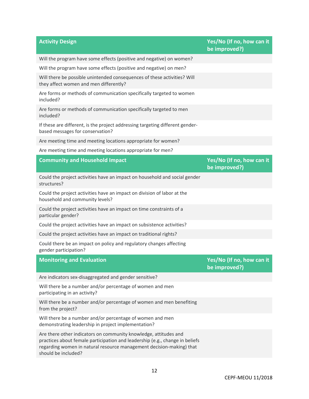| <b>Activity Design</b>                                                                                                                                                                                                                          | Yes/No (If no, how can it<br>be improved?) |
|-------------------------------------------------------------------------------------------------------------------------------------------------------------------------------------------------------------------------------------------------|--------------------------------------------|
| Will the program have some effects (positive and negative) on women?                                                                                                                                                                            |                                            |
| Will the program have some effects (positive and negative) on men?                                                                                                                                                                              |                                            |
| Will there be possible unintended consequences of these activities? Will<br>they affect women and men differently?                                                                                                                              |                                            |
| Are forms or methods of communication specifically targeted to women<br>included?                                                                                                                                                               |                                            |
| Are forms or methods of communication specifically targeted to men<br>included?                                                                                                                                                                 |                                            |
| If these are different, is the project addressing targeting different gender-<br>based messages for conservation?                                                                                                                               |                                            |
| Are meeting time and meeting locations appropriate for women?                                                                                                                                                                                   |                                            |
| Are meeting time and meeting locations appropriate for men?                                                                                                                                                                                     |                                            |
| <b>Community and Household Impact</b>                                                                                                                                                                                                           | Yes/No (If no, how can it<br>be improved?) |
| Could the project activities have an impact on household and social gender<br>structures?                                                                                                                                                       |                                            |
| Could the project activities have an impact on division of labor at the<br>household and community levels?                                                                                                                                      |                                            |
| Could the project activities have an impact on time constraints of a<br>particular gender?                                                                                                                                                      |                                            |
| Could the project activities have an impact on subsistence activities?                                                                                                                                                                          |                                            |
| Could the project activities have an impact on traditional rights?                                                                                                                                                                              |                                            |
| Could there be an impact on policy and regulatory changes affecting<br>gender participation?                                                                                                                                                    |                                            |
| <b>Monitoring and Evaluation</b>                                                                                                                                                                                                                | Yes/No (If no, how can it<br>be improved?) |
| Are indicators sex-disaggregated and gender sensitive?                                                                                                                                                                                          |                                            |
| Will there be a number and/or percentage of women and men<br>participating in an activity?                                                                                                                                                      |                                            |
| Will there be a number and/or percentage of women and men benefiting<br>from the project?                                                                                                                                                       |                                            |
| Will there be a number and/or percentage of women and men<br>demonstrating leadership in project implementation?                                                                                                                                |                                            |
| Are there other indicators on community knowledge, attitudes and<br>practices about female participation and leadership (e.g., change in beliefs<br>regarding women in natural resource management decision-making) that<br>should be included? |                                            |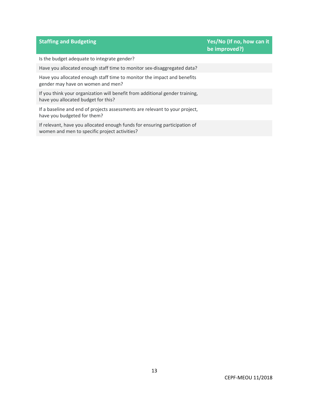Is the budget adequate to integrate gender?

Have you allocated enough staff time to monitor sex-disaggregated data?

Have you allocated enough staff time to monitor the impact and benefits gender may have on women and men?

If you think your organization will benefit from additional gender training, have you allocated budget for this?

If a baseline and end of projects assessments are relevant to your project, have you budgeted for them?

If relevant, have you allocated enough funds for ensuring participation of women and men to specific project activities?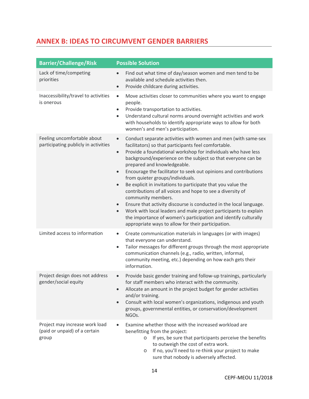# <span id="page-14-0"></span>**ANNEX B: IDEAS TO CIRCUMVENT GENDER BARRIERS**

| <b>Barrier/Challenge/Risk</b>                                            | <b>Possible Solution</b>                                                                                                                                                                                                                                                                                                                                                                                                                                                                                                                                                                                                                                                                                                                                                                                                                                                                           |
|--------------------------------------------------------------------------|----------------------------------------------------------------------------------------------------------------------------------------------------------------------------------------------------------------------------------------------------------------------------------------------------------------------------------------------------------------------------------------------------------------------------------------------------------------------------------------------------------------------------------------------------------------------------------------------------------------------------------------------------------------------------------------------------------------------------------------------------------------------------------------------------------------------------------------------------------------------------------------------------|
| Lack of time/competing<br>priorities                                     | Find out what time of day/season women and men tend to be<br>$\bullet$<br>available and schedule activities then.<br>Provide childcare during activities.<br>$\bullet$                                                                                                                                                                                                                                                                                                                                                                                                                                                                                                                                                                                                                                                                                                                             |
| Inaccessibility/travel to activities<br>is onerous                       | Move activities closer to communities where you want to engage<br>$\bullet$<br>people.<br>Provide transportation to activities.<br>$\bullet$<br>Understand cultural norms around overnight activities and work<br>$\bullet$<br>with households to identify appropriate ways to allow for both<br>women's and men's participation.                                                                                                                                                                                                                                                                                                                                                                                                                                                                                                                                                                  |
| Feeling uncomfortable about<br>participating publicly in activities      | Conduct separate activities with women and men (with same-sex<br>$\bullet$<br>facilitators) so that participants feel comfortable.<br>Provide a foundational workshop for individuals who have less<br>$\bullet$<br>background/experience on the subject so that everyone can be<br>prepared and knowledgeable.<br>Encourage the facilitator to seek out opinions and contributions<br>$\bullet$<br>from quieter groups/individuals.<br>Be explicit in invitations to participate that you value the<br>$\bullet$<br>contributions of all voices and hope to see a diversity of<br>community members.<br>Ensure that activity discourse is conducted in the local language.<br>$\bullet$<br>Work with local leaders and male project participants to explain<br>$\bullet$<br>the importance of women's participation and identify culturally<br>appropriate ways to allow for their participation. |
| Limited access to information                                            | Create communication materials in languages (or with images)<br>$\bullet$<br>that everyone can understand.<br>Tailor messages for different groups through the most appropriate<br>$\bullet$<br>communication channels (e.g., radio, written, informal,<br>community meeting, etc.) depending on how each gets their<br>information.                                                                                                                                                                                                                                                                                                                                                                                                                                                                                                                                                               |
| Project design does not address<br>gender/social equity                  | Provide basic gender training and follow-up trainings, particularly<br>for staff members who interact with the community.<br>Allocate an amount in the project budget for gender activities<br>and/or training.<br>Consult with local women's organizations, indigenous and youth<br>$\bullet$<br>groups, governmental entities, or conservation/development<br>NGOs.                                                                                                                                                                                                                                                                                                                                                                                                                                                                                                                              |
| Project may increase work load<br>(paid or unpaid) of a certain<br>group | Examine whether those with the increased workload are<br>$\bullet$<br>benefitting from the project:<br>If yes, be sure that participants perceive the benefits<br>$\circ$<br>to outweigh the cost of extra work.<br>If no, you'll need to re-think your project to make<br>O                                                                                                                                                                                                                                                                                                                                                                                                                                                                                                                                                                                                                       |

sure that nobody is adversely affected.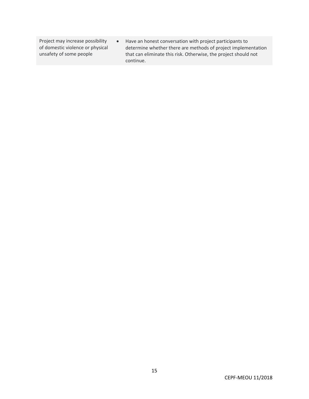Project may increase possibility of domestic violence or physical unsafety of some people

• Have an honest conversation with project participants to determine whether there are methods of project implementation that can eliminate this risk. Otherwise, the project should not continue.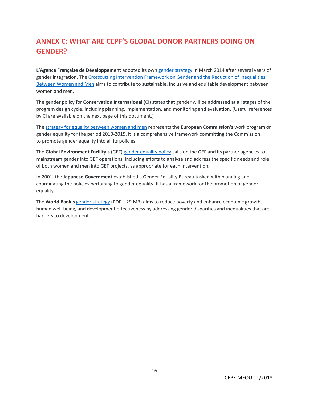# <span id="page-16-0"></span>**ANNEX C: WHAT ARE CEPF'S GLOBAL DONOR PARTNERS DOING ON GENDER?**

**L'Agence Française de Développement** adopted its own [gender strategy](https://www.afd.fr/en/page-thematique-axe/gender-equality) in March 2014 after several years of gender integration. The [Crosscutting Intervention Framework on Gender and the Reduction of Inequalities](https://www.afd.fr/fr/cadre-intervention-genre-reduction-inegalites)  [Between Women and Men](https://www.afd.fr/fr/cadre-intervention-genre-reduction-inegalites) aims to contribute to sustainable, inclusive and equitable development between women and men.

The gender policy for **Conservation International** (CI) states that gender will be addressed at all stages of the program design cycle, including planning, implementation, and monitoring and evaluation. (Useful references by CI are available on the next page of this document.)

The [strategy for equality between women and men](https://ec.europa.eu/info/policies/justice-and-fundamental-rights/gender-equality) represents the **European Commission's** work program on gender equality for the period 2010-2015. It is a comprehensive framework committing the Commission to promote gender equality into all its policies.

The **Global Environment Facility's** (GEF) [gender equality policy](https://www.thegef.org/council-meeting-documents/policy-gender-equality) calls on the GEF and its partner agencies to mainstream gender into GEF operations, including efforts to analyze and address the specific needs and role of both women and men into GEF projects, as appropriate for each intervention.

In 2001, the **Japanese Government** established a Gender Equality Bureau tasked with planning and coordinating the policies pertaining to gender equality. It has a framework for the promotion of gender equality.

The **World Bank's** [gender strategy](http://documents.worldbank.org/curated/en/820851467992505410/pdf/102114-REVISED-PUBLIC-WBG-Gender-Strategy.pdf) (PDF – 29 MB) aims to reduce poverty and enhance economic growth, human well-being, and development effectiveness by addressing gender disparities and inequalities that are barriers to development.